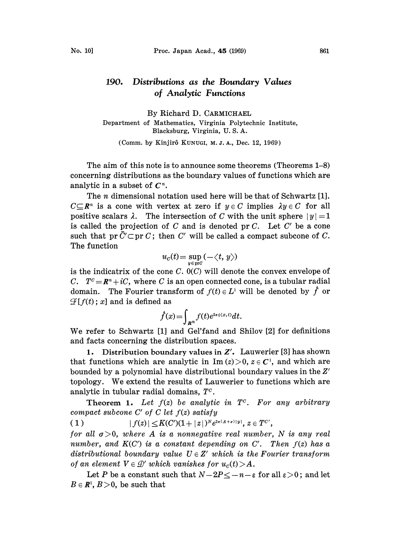## 190. Distributions as the Boundary Values of Analytic Functions

By Richard D. CARMICHAEL Department of Mathematics, Virginia Polytechnic Institute, Blacksburg, Virginia, U. S. A.

(Comm. by Kinjirô KUNUGI, M. J. A., Dec. 12, 1969)

The aim of this note is to announce some theorems (Theorems 1-8) concerning distributions as the boundary values of functions which are analytic in a subset of  $C<sup>n</sup>$ .

The *n* dimensional notation used here will be that of Schwartz [1].  $C \subseteq \mathbb{R}^n$  is a cone with vertex at zero if  $y \in C$  implies  $\lambda y \in C$  for all positive scalars  $\lambda$ . The intersection of C with the unit sphere  $|y|=1$ is called the projection of  $C$  and is denoted pr  $C$ . Let  $C'$  be a cone such that pr  $\bar{C}' \subset \text{pr } C$ ; then C' will be called a compact subcone of C. The function

$$
u_c(t)\!=\!\sup_{y\in\text{pr}G}(-\!\!\!\langle t,\,y\rangle)
$$

is the indicatrix of the cone  $C. 0(C)$  will denote the convex envelope of C.  $T^c = \mathbb{R}^n + iC$ , where C is an open connected cone, is a tubular radial domain. The Fourier transform of  $f(t) \in L^1$  will be denoted by  $\hat{f}$  or  $\mathcal{F}[f(t);x]$  and is defined as

$$
\hat{f}(x) = \int_{\mathbf{R}^n} f(t) e^{2\pi i \langle x, t \rangle} dt.
$$

 $f(x) = \int_{\mathbb{R}^n} f(t)e^{2\pi i \langle x, t \rangle} dt.$ <br>We refer to Schwartz [1] and Gel'fand and Shilov [2] for definitions and facts concerning the distribution spaces.

1. Distribution boundary values in  $Z'$ . Lauwerier [3] has shown that functions which are analytic in Im  $(z) > 0$ ,  $z \in C<sup>1</sup>$ , and which are bounded by a polynomial have distributional boundary values in the Z' topology. We extend the results of Lauwerier to functions which are analytic in tubular radial domains,  $T<sup>c</sup>$ .

**Theorem 1.** Let  $f(z)$  be analytic in  $T<sup>c</sup>$ . For any arbitrary compact subcone  $C'$  of  $C$  let  $f(z)$  satisfy

( 1 )  $|f(z)| \leq K(C')(1+|z|)^N e^{2\pi(A+\sigma)|y|}, z \in T^{C'},$ 

for all  $\sigma > 0$ , where A is a nonnegative real number, N is any real number, and  $K(C')$  is a constant depending on C'. Then  $f(z)$  has a distributional boundary value  $U \in Z'$  which is the Fourier transform of an element  $V \in \mathcal{D}'$  which vanishes for  $u_c(t)$   $>$  A. is element  $V \in \mathcal{D}'$  which vanishes for  $u_c(t) > A$ .<br>Let P be a constant such that  $N-2P \le -n-\varepsilon$  for all  $\varepsilon > 0$ ; and let

 $B \in \mathbb{R}^n$ ,  $B > 0$ , be such that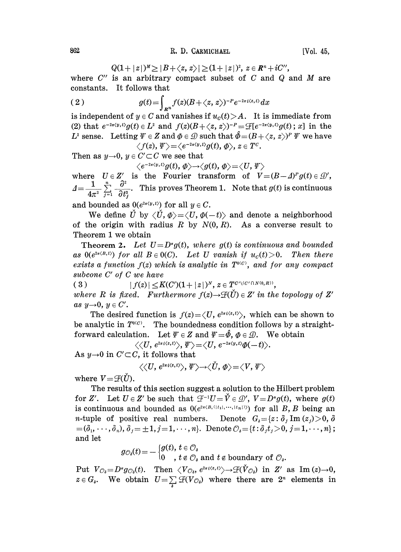$$
Q(1+|z|)^{M}\geq |B+\langle z,z\rangle|\geq (1+|z|)^{2},\ z\in R^{n}+iC'',
$$

where  $C''$  is an arbitrary compact subset of  $C$  and  $Q$  and  $M$  are constants. It follows that

$$
(2) \t\t g(t) = \int_{R^n} f(z)(B + \langle z, z \rangle)^{-P} e^{-2\pi i \langle z, t \rangle} dx
$$

is independent of  $y \in C$  and vanishes if  $u_c(t) > A$ . It is immediate from (2) that  $e^{-2\pi \langle y,t\rangle}g(t)\in L^2$  and  $f(z)(B+\langle z,z\rangle)^{-p}=\mathscr{F}[e^{-2\pi \langle y,t\rangle}g(t);x]$  in the  $L^2$  sense. Letting  $\Psi \in \mathbb{Z}$  and  $\Phi \in \mathbb{Q}$  such that  $\hat{\Phi} = (B + \langle z, z \rangle)^p \Psi$  we have  $\langle f(z), \Psi \rangle = \langle e^{-2\pi \langle y, t \rangle} g(t), \phi \rangle, z \in T^C.$ 

Then as  $y\rightarrow 0$ ,  $y \in C' \subset C$  we see that<br> $\langle e^{-2\pi \langle y, t \rangle} g(t), \phi \rangle \rightarrow \langle g(t), \phi \rangle = \langle U, \Psi \rangle$ 

where  $U \in Z'$  is the Fourier transform of  $V = (B - A)^p g(t) \in \mathcal{D}'$ ,  $A=\frac{1}{4\pi^2}\sum_{j=1}^n\frac{\partial^2}{\partial t_j^2}$ . This proves Theorem 1. Note that  $g(t)$  is continuous

and bounded as  $0(e^{2\pi \langle y,t \rangle})$  for all  $y \in C$ .

We define  $\check{U}$  by  $\langle \check{U}, \Phi \rangle = \langle U, \Phi(-t) \rangle$  and denote a neighborhood of the origin with radius R by  $N(0, R)$ . As a converse result to Theorem <sup>I</sup> we obtain

**Theorem 2.** Let  $U = D^{\alpha}g(t)$ , where  $g(t)$  is continuous and bounded as  $0(e^{2\pi\langle B,\,t\rangle})$  for all  $B\in 0(C)$ . Let U vanish if  $u_c(t) > 0$ . Then there exists a function  $f(z)$  which is analytic in  $T^{0(C)}$ , and for any compact subcone C' of C we have

( 3 )  $|f(z)| \leq K(C')(1+|z|)^N$ ,  $z \in T^{C' \setminus (C' \cap N(0,R))}$ , where R is fixed. Furthermore  $f(z) \rightarrow \mathcal{F}(\check{U}) \in Z'$  in the topology of Z' as  $y\rightarrow 0$ ,  $y \in C'$ .

The desired function is  $f(z) = \langle U, e^{2\pi i \langle z, t \rangle} \rangle$ , which can be shown to be analytic in  $T^{0(C)}$ . The boundedness condition follows by a straightforward calculation. Let  $\Psi \in Z$  and  $\Psi = \hat{\phi}, \phi \in \mathcal{D}$ . We obtain  $\langle \langle U, e^{2\pi i \langle z, t \rangle} \rangle, \Psi \rangle = \langle U, e^{-2\pi \langle y, t \rangle} \phi(-t) \rangle.$ 

As  $y\rightarrow 0$  in  $C' \subset C$ , it follows that

$$
\langle\langle U,\,e^{2\pi i\langle z,t\rangle}\rangle,\,\Psi\rangle{\rightarrow}\langle\check{U},\,\varPhi\rangle{=}\langle V,\,\Psi\rangle
$$

where  $V = \mathcal{F}(\check{U})$ .

The results of this seetion suggest a solution to the Hilbert problem for Z'. Let  $U \in Z'$  be such that  $\mathcal{F}^{-1}U = \check{V} \in \mathcal{D}'$ ,  $V = D^{\alpha}g(t)$ , where  $g(t)$ is continuous and bounded as  $0(e^{2\pi\langle B, (|t_1|,\cdots,|t_n|)\rangle})$  for all B, B being an *n*-tuple of positive real numbers. Denote  $G_i = \{z : \delta_i \text{Im}(z_i) > 0, \delta\}$  $=(\delta_1,\cdots,\delta_n), \delta_j=\pm 1, j=1,\cdots,n\}.$  Denote  $\mathcal{O}_s = \{t:\delta_j t_j > 0, j=1,\cdots,n\};$ and let

 $g_{\mathcal{O}_{\delta}}(t) \!=\! -\big\{\begin{matrix} g(t),\, t\in \mathcal{O}_\delta\ 0\quad ,\, t\notin \mathcal{O}_\delta \text{ and } t\notin \text{boundary of }\mathcal{O}_\delta. \end{matrix}\!\!\!$ 

Put  $V_{\mathcal{O}_\delta} = D^{\alpha} g_{\mathcal{O}_\delta}(t)$ . Then  $\langle V_{\mathcal{O}_\delta}, e^{2\pi i \langle z,t\rangle} \rangle \rightarrow \mathcal{F}(\check{V}_{\mathcal{O}_\delta})$  in Z' as Im (z)  $\rightarrow$  0,  $z \in G_s$ . We obtain  $U = \sum_i \mathcal{F}(V_{\mathcal{O}_s})$  where there are  $2^n$  elements in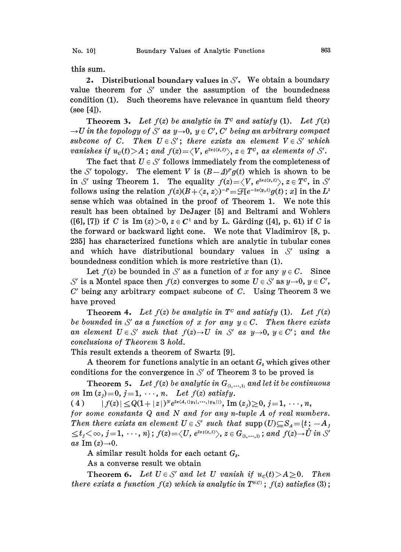this sum.

2. Distributional boundary values in  $S'$ . We obtain a boundary value theorem for  $S'$  under the assumption of the boundedness<br>condition (1). Such theorems have relevance in quantum field theory value theorem for  $S'$  under the assumption of the boundedness (see [4]).

**Theorem 3.** Let  $f(z)$  be analytic in  $T<sup>c</sup>$  and satisfy (1). Let  $f(z)$  $\rightarrow U$  in the topology of S' as y $\rightarrow$ 0, y  $\in C'$ , C' being an arbitrary compact subcone of C. Then  $U \in S'$ ; there exists an element  $V \in S'$  which. subcone of C. Then  $U \in S'$ ; there exists an element  $V \in S'$  which vanishes if  $u_c(t) > A$ ; and  $f(z) = \langle V, e^{2\pi i \langle z, t \rangle} \rangle$ ,  $z \in T^c$ , as elements of S'.

The fact that  $U \in \mathcal{S}'$  follows immediately from the completeness of the S' topology. The element V is  $(B-\Delta)^p g(t)$  which is shown to be in S' using Theorem 1. The equality  $f(z) = \langle V, e^{2\pi i \langle z, t \rangle} \rangle$ ,  $z \in T^c$ , in S' follows using the relation  $f(z)(B + \langle z, z \rangle)^{-p} = \mathcal{F}[e^{-2\pi \langle y, t \rangle} g(t); x]$  in the  $L^2$ sense which was obtained in the proof of Theorem 1. We note this result has been obtained by DeJager [5] and Beltrami and Wohlers ([6], [7]) if C is Im  $(z) > 0$ ,  $z \in C<sup>1</sup>$  and by L. Gårding ([4], p. 61) if C is the forward or backward light cone. We note that Vladimirov [8, p. 235] has characterized functions which are analytic in tubular cones and which have distributional boundary values in  $S'$  using a boundedness condition which is more restrictive than (1).

Let  $f(z)$  be bounded in S' as a function of x for any  $y \in C$ . Since  $C'$  being any arbitrary compact subcone of  $C$ . Using Theorem 3 we is a Montel space then  $f(z)$  converges to some  $U \in \mathcal{S}'$  as  $y \rightarrow 0$ ,  $y \in \mathcal{C}'$ , have proved

**Theorem 4.** Let  $f(z)$  be analytic in  $T<sup>c</sup>$  and satisfy (1). Let  $f(z)$ be bounded in S' as a function of x for any  $y \in C$ . Then there exists<br>an element  $U \in S'$  such that  $f(z) {\rightarrow} U$  in S' as  $y {\rightarrow} 0$ ,  $y \in C'$ ; and the<br>conclusions of Theorem 3 hold. be bounded in S' as a function of x for any  $y \in C$ . Then there exists conclusions of Theorem 3 hold.

This result extends a theorem of Swartz [9].

A theorem for functions analytic in an octant  $G_s$  which gives other conditions for the convergence in S' of Theorem 3 to be proved is<br>Theorem 5. Let  $f(z)$  be analytic in  $G_{\alpha_1,\ldots,\alpha_n}$  and let it be continu

**Theorem 5.** Let  $f(z)$  be analytic in  $G_{(1,...,1)}$  and let it be continuous on Im  $(z_j)=0$ ,  $j=1, \dots, n$ . Let  $f(z)$  satisfy.

( 4 )  $|f(z)| \leq Q(1+ |z|)^N e^{2\pi \langle A, (|y_1|, \cdots, |y_n|) \rangle}, \text{Im}(z_i) \geq 0, j=1, \cdots, n,$ 

for some constants  $Q$  and  $N$  and for any n-tuple  $A$  of real numbers. Then there exists an element  $U \in \mathcal{S}'$  such that  $\mathrm{supp\,}(U) {\subseteq} S_A {=} \{t: -A_A\}$  $\leq t_j < \infty$ ,  $j = 1, \dots, n$ ;  $f(z) = \langle U, e^{2\pi i \langle z, t \rangle} \rangle$ ,  $z \in G_{(1, \dots, 1)}$ ; and  $f(z) \to \hat{U}$  in S' as Im  $(z) \rightarrow 0$ .

A similar result holds for each octant  $G_{\delta}$ .

As a converse result we obtain

**Theorem 6.** Let  $U \in \mathcal{S}'$  and let U vanish if  $u_c(t) > A \ge 0$ . Then there exists a function  $f(z)$  which is analytic in  $T^{0(0)}$ ;  $f(z)$  satisfies (3);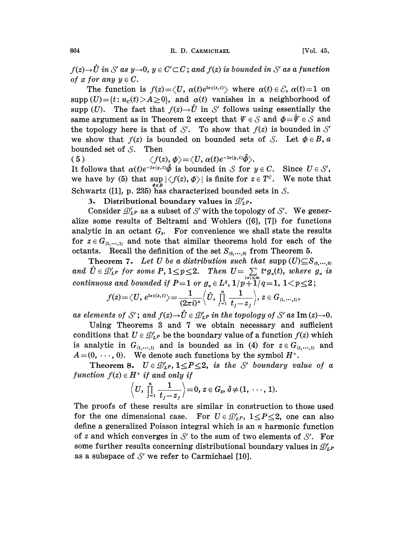$f(z) \rightarrow U$  in S' as y-<br>of x for any  $y \in C$ . as  $y\rightarrow 0$ ,  $y \in C' \subset C$ ; and  $f(z)$  is bounded in S' as a function  $y \in C$ .

The function is  $f(z) = \langle U, \alpha(t)e^{2\pi i \langle z,t \rangle} \rangle$  where  $\alpha(t) \in \mathcal{E}$ ,  $\alpha(t)=1$  on supp  $(U) = \{t : u_c(t) > A \ge 0\}$ , and  $\alpha(t)$  vanishes in a neighborhood of supp (U). The fact that  $f(z) \to \hat{U}$  in S' follows using essentially the same argument as in Theorem 2 except that  $\Psi \in S$  and  $\Phi = \hat{\Psi} \in S$  and supp (*U*). The fact that  $f(z) \rightarrow \hat{U}$  in S' follows using essentially the same argument as in Theorem 2 except that  $\Psi \in S$  and  $\Phi = \hat{\Psi} \in S$  and the topology here is that of S'. To show that  $f(z)$  is bounded in S' we show that  $f(z)$  is bounded on bounded sets of S. Let  $\Phi \in B$ , a bounded set of  $S$ . Then

( 5 )  $\langle f(z), \phi \rangle = \langle U, \alpha(t) e^{-2\pi \langle y, t \rangle} \hat{\phi} \rangle.$ 

It follows that  $\alpha(t)e^{-2\pi\langle y,t\rangle}\hat{\phi}$  is bounded in S for  $y \in C$ . Since  $U \in \mathcal{S}'$ , we have by (5) that  $\sup_{x \in \mathbb{R}} |\langle f(z), \phi \rangle|$  is finite for  $z \in T^c$ . We note that Schwartz ([1], p. 235) has characterized bounded sets in S.

3. Distributional boundary values in  $\mathcal{D}'_{L}$ .

Consider  $\mathcal{D}_{LP}'$  as a subset of S' with the topology of S'. We generalize some results of Beltrami and Wohlers ([6], [7]) for functions Consider  $\mathcal{D}_{L^P}'$  as a subset of S' with the topology of S'. We generanalytic in an octant  $G_{\lambda}$ . For convenience we shall state the results for  $z \in G_{(1,...,1)}$  and note that similar theorems hold for each of the octants. Recall the definition of the set  $S_{(0, \ldots,0)}$  from Theorem 5.

Theorem 7. Let U be a distribution such that supp  $(U) \subseteq S_{(0, \ldots, 0)}$ **Theorem 7.** Let U be a distribution such that  $\text{supp}(U) \subseteq S_{(0,\dots,0)}$ <br>and  $\hat{U} \in \mathcal{D}_{LP}'$  for some  $P, 1 \leq p \leq 2$ . Then  $U = \sum_{|a| \leq m} t^a g_a(t)$ , where  $g_a$  is continuous and bounded if P=1 or  $g_{\alpha} \in L^{q}$ ,  $1/p + 1/q = 1$ ,  $1 < p \leq 2$ 

$$
f(z) = \langle U, e^{2\pi i \langle z, t \rangle} \rangle = \frac{1}{(2\pi i)^n} \langle U, \prod_{j=1}^n \frac{1}{t_j - z_j} \rangle, z \in G_{(1, \ldots, 1)},
$$

 $(2\pi i)^n$   $\rightarrow$   $\vec{f}$   $\rightarrow$   $\vec{f}$   $\rightarrow$   $\vec{f}$   $\rightarrow$   $\vec{f}$   $\rightarrow$   $\vec{f}$  as Im (z) -0.<br>
as elements of S'; and  $f(z) \rightarrow \hat{U} \in \mathcal{D}'_{LP}$  in the topology of S' as Im (z) -0.

Using Theorems 3 and 7 we obtain necessary and sufficient conditions that  $U \in \mathcal{D}_{LP}'$  be the boundary value of a function  $f(z)$  which is analytic in  $G_{(1,...,1)}$  and is bounded as in (4) for  $z \in G_{(1,...,1)}$  and  $A=(0, \dots, 0)$ . We denote such functions by the symbol  $H^+$ .

 $(0, \dots, 0)$ . We denote such functions by the correction  $S$ .  $U \in \mathcal{D}'_{LP}$ ,  $1 \leq P \leq 2$ , is the S'<br>tion  $f(z) \in H^+$  if and only if boundary value of a function  $f(z) \in H^+$  if and only if

$$
\left\langle U, \prod_{j=1}^n \frac{1}{t_j-z_j}\right\rangle = 0, z \in G_s, \delta \neq (1, \cdots, 1).
$$

The proofs of these results are similar in construction to those used for the one dimensional case. For  $U \in \mathcal{D}'_{L^p}$ ,  $1 \leq P \leq 2$ , one can also define a generalized Poisson integral which is an  $n$  harmonic function of  $z$  and which converges in  $\mathcal{S}'$  to the sum of two elements of  $\mathcal{S}'.$ <br>some further results concerning distributional boundary values in of z and which converges in  $S'$  to the sum of two elements of  $S'$ . For as a subspace of  $\mathcal{S}'$  we refer to Carmichael [10].